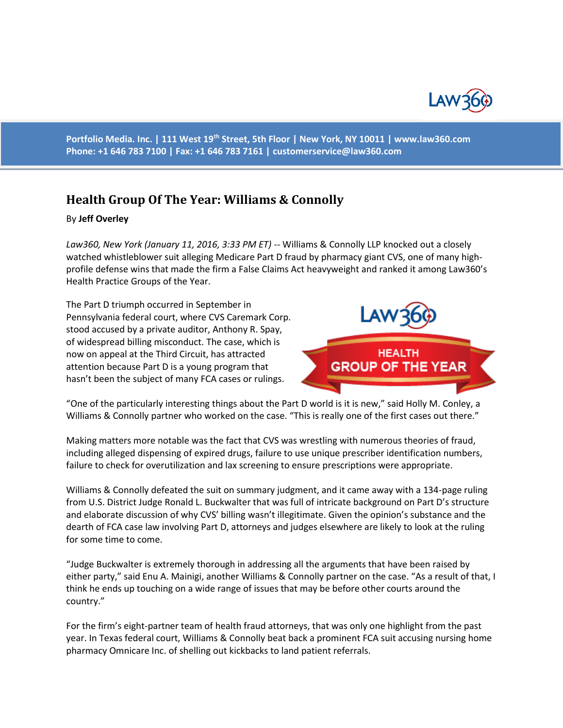

**Portfolio Media. Inc. | 111 West 19th Street, 5th Floor | New York, NY 10011 | www.law360.com Phone: +1 646 783 7100 | Fax: +1 646 783 7161 | [customerservice@law360.com](mailto:customerservice@law360.com)**

## **Health Group Of The Year: Williams & Connolly**

## By **Jeff Overley**

*Law360, New York (January 11, 2016, 3:33 PM ET)* -- [Williams & Connolly LLP](https://www.law360.com/firm/williams-connolly) knocked out a closely watched whistleblower suit alleging Medicare Part D fraud by pharmacy giant CVS, one of many highprofile defense wins that made the firm a False Claims Act heavyweight and ranked it among [Law360's](http://www.law360.com/articles/739452)  [Health Practice Groups of the Year.](http://www.law360.com/articles/739452)

The Part D triumph occurred in September in Pennsylvania federal court, where [CVS Caremark Corp.](https://www.law360.com/company/cvs-caremark-corporation) stood accused by a private auditor, Anthony R. Spay, of widespread billing misconduct[. The case,](http://www.law360.com/cases/4f0ec7b2adbdcb2e4b000001) which is now on appeal at the Third Circuit, has attracted attention because Part D is a young program that hasn't been the subject of many FCA cases or rulings.



"One of the particularly interesting things about the Part D world is it is new," said Holly M. Conley, a Williams & Connolly partner who worked on the case. "This is really one of the first cases out there."

Making matters more notable was the fact that CVS was wrestling with numerous theories of fraud, including alleged dispensing of expired drugs, failure to use unique prescriber identification numbers, failure to check for overutilization and lax screening to ensure prescriptions were appropriate.

Williams & Connolly defeated the suit on summary judgment, and it came away with a 134-page ruling from U.S. District Judge Ronald L. Buckwalter that was full of intricate background on Part D's structure and elaborate discussion of why CVS' billing wasn't illegitimate. Given the opinion's substance and the dearth of FCA case law involving Part D, attorneys and judges elsewhere are likely to look at the ruling for some time to come.

"Judge Buckwalter is extremely thorough in addressing all the arguments that have been raised by either party," said Enu A. Mainigi, another Williams & Connolly partner on the case. "As a result of that, I think he ends up touching on a wide range of issues that may be before other courts around the country."

For the firm's eight-partner team of health fraud attorneys, that was only one highlight from the past year. In Texas federal court, Williams & Connolly beat back a prominent FCA suit accusing nursing home pharmacy [Omnicare Inc.](https://www.law360.com/company/omnicare-inc) of shelling out kickbacks to land patient referrals.